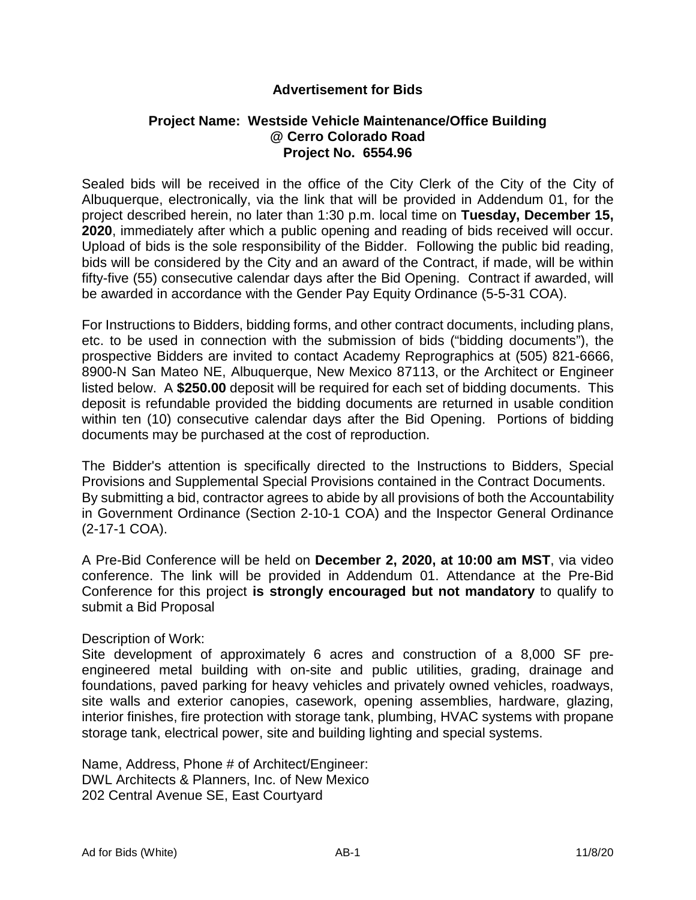## **Advertisement for Bids**

## **Project Name: Westside Vehicle Maintenance/Office Building @ Cerro Colorado Road Project No. 6554.96**

Sealed bids will be received in the office of the City Clerk of the City of the City of Albuquerque, electronically, via the link that will be provided in Addendum 01, for the project described herein, no later than 1:30 p.m. local time on **Tuesday, December 15, 2020**, immediately after which a public opening and reading of bids received will occur. Upload of bids is the sole responsibility of the Bidder. Following the public bid reading, bids will be considered by the City and an award of the Contract, if made, will be within fifty-five (55) consecutive calendar days after the Bid Opening. Contract if awarded, will be awarded in accordance with the Gender Pay Equity Ordinance (5-5-31 COA).

For Instructions to Bidders, bidding forms, and other contract documents, including plans, etc. to be used in connection with the submission of bids ("bidding documents"), the prospective Bidders are invited to contact Academy Reprographics at (505) 821-6666, 8900-N San Mateo NE, Albuquerque, New Mexico 87113, or the Architect or Engineer listed below. A **\$250.00** deposit will be required for each set of bidding documents. This deposit is refundable provided the bidding documents are returned in usable condition within ten (10) consecutive calendar days after the Bid Opening. Portions of bidding documents may be purchased at the cost of reproduction.

The Bidder's attention is specifically directed to the Instructions to Bidders, Special Provisions and Supplemental Special Provisions contained in the Contract Documents. By submitting a bid, contractor agrees to abide by all provisions of both the Accountability in Government Ordinance (Section 2-10-1 COA) and the Inspector General Ordinance (2-17-1 COA).

A Pre-Bid Conference will be held on **December 2, 2020, at 10:00 am MST**, via video conference. The link will be provided in Addendum 01. Attendance at the Pre-Bid Conference for this project **is strongly encouraged but not mandatory** to qualify to submit a Bid Proposal

## Description of Work:

Site development of approximately 6 acres and construction of a 8,000 SF preengineered metal building with on-site and public utilities, grading, drainage and foundations, paved parking for heavy vehicles and privately owned vehicles, roadways, site walls and exterior canopies, casework, opening assemblies, hardware, glazing, interior finishes, fire protection with storage tank, plumbing, HVAC systems with propane storage tank, electrical power, site and building lighting and special systems.

Name, Address, Phone # of Architect/Engineer: DWL Architects & Planners, Inc. of New Mexico 202 Central Avenue SE, East Courtyard